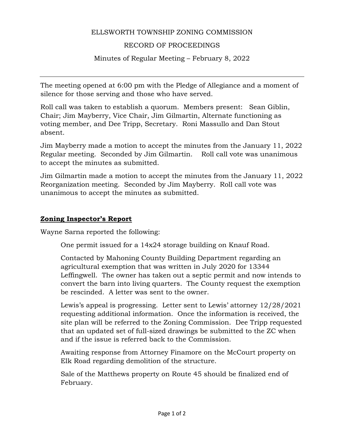### ELLSWORTH TOWNSHIP ZONING COMMISSION

#### RECORD OF PROCEEDINGS

Minutes of Regular Meeting – February 8, 2022

The meeting opened at 6:00 pm with the Pledge of Allegiance and a moment of silence for those serving and those who have served.

Roll call was taken to establish a quorum. Members present: Sean Giblin, Chair; Jim Mayberry, Vice Chair, Jim Gilmartin, Alternate functioning as voting member, and Dee Tripp, Secretary. Roni Massullo and Dan Stout absent.

Jim Mayberry made a motion to accept the minutes from the January 11, 2022 Regular meeting. Seconded by Jim Gilmartin. Roll call vote was unanimous to accept the minutes as submitted.

Jim Gilmartin made a motion to accept the minutes from the January 11, 2022 Reorganization meeting. Seconded by Jim Mayberry. Roll call vote was unanimous to accept the minutes as submitted.

#### **Zoning Inspector's Report**

Wayne Sarna reported the following:

One permit issued for a 14x24 storage building on Knauf Road.

Contacted by Mahoning County Building Department regarding an agricultural exemption that was written in July 2020 for 13344 Leffingwell. The owner has taken out a septic permit and now intends to convert the barn into living quarters. The County request the exemption be rescinded. A letter was sent to the owner.

Lewis's appeal is progressing. Letter sent to Lewis' attorney 12/28/2021 requesting additional information. Once the information is received, the site plan will be referred to the Zoning Commission. Dee Tripp requested that an updated set of full-sized drawings be submitted to the ZC when and if the issue is referred back to the Commission.

Awaiting response from Attorney Finamore on the McCourt property on Elk Road regarding demolition of the structure.

Sale of the Matthews property on Route 45 should be finalized end of February.